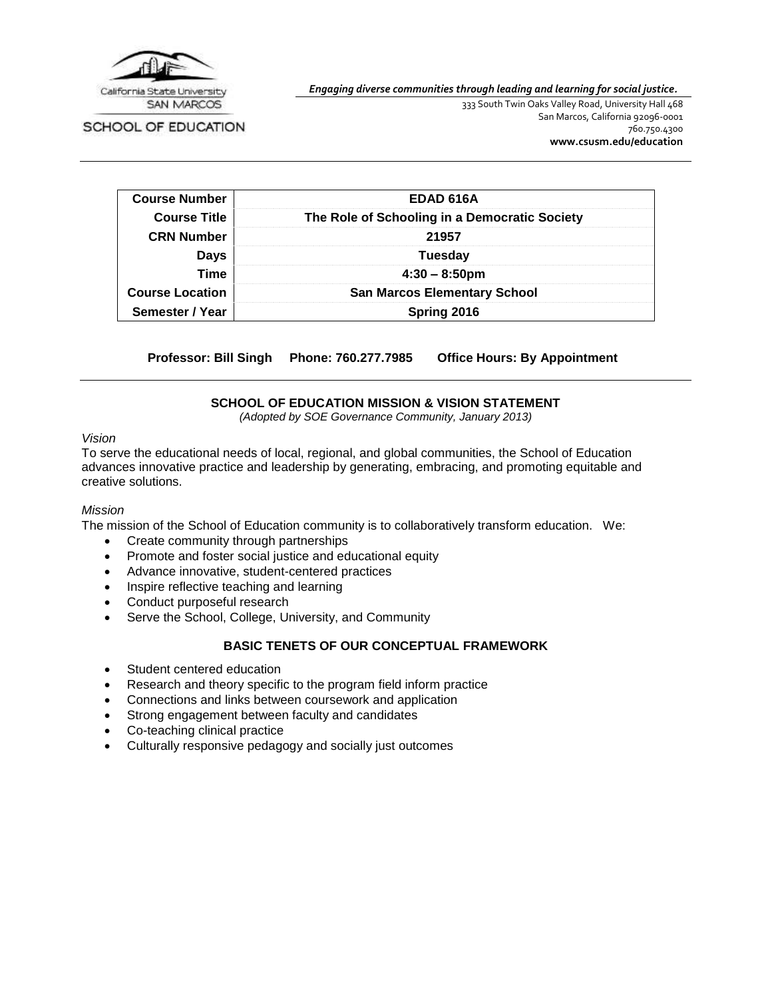

*Engaging diverse communities through leading and learning for social justice.*

SCHOOL OF EDUCATION

333 South Twin Oaks Valley Road, University Hall 468 San Marcos, California 92096-0001 760.750.4300 **[www.csusm.edu/education](http://www.csusm.edu/education)**

| <b>Course Number</b>   | EDAD 616A                                     |  |
|------------------------|-----------------------------------------------|--|
| <b>Course Title</b>    | The Role of Schooling in a Democratic Society |  |
| <b>CRN Number</b>      | 21957<br><b>Tuesday</b>                       |  |
| <b>Days</b>            |                                               |  |
| <b>Time</b>            | $4:30 - 8:50 \text{pm}$                       |  |
| <b>Course Location</b> | <b>San Marcos Elementary School</b>           |  |
| Semester / Year        | Spring 2016                                   |  |

**Professor: Bill Singh Phone: 760.277.7985 Office Hours: By Appointment**

### **SCHOOL OF EDUCATION MISSION & VISION STATEMENT**

*(Adopted by SOE Governance Community, January 2013)*

### *Vision*

To serve the educational needs of local, regional, and global communities, the School of Education advances innovative practice and leadership by generating, embracing, and promoting equitable and creative solutions.

#### *Mission*

The mission of the School of Education community is to collaboratively transform education. We:

- Create community through partnerships
- Promote and foster social justice and educational equity
- Advance innovative, student-centered practices
- Inspire reflective teaching and learning
- Conduct purposeful research
- Serve the School, College, University, and Community

#### **BASIC TENETS OF OUR CONCEPTUAL FRAMEWORK**

- Student centered education
- Research and theory specific to the program field inform practice
- Connections and links between coursework and application
- Strong engagement between faculty and candidates
- Co-teaching clinical practice
- Culturally responsive pedagogy and socially just outcomes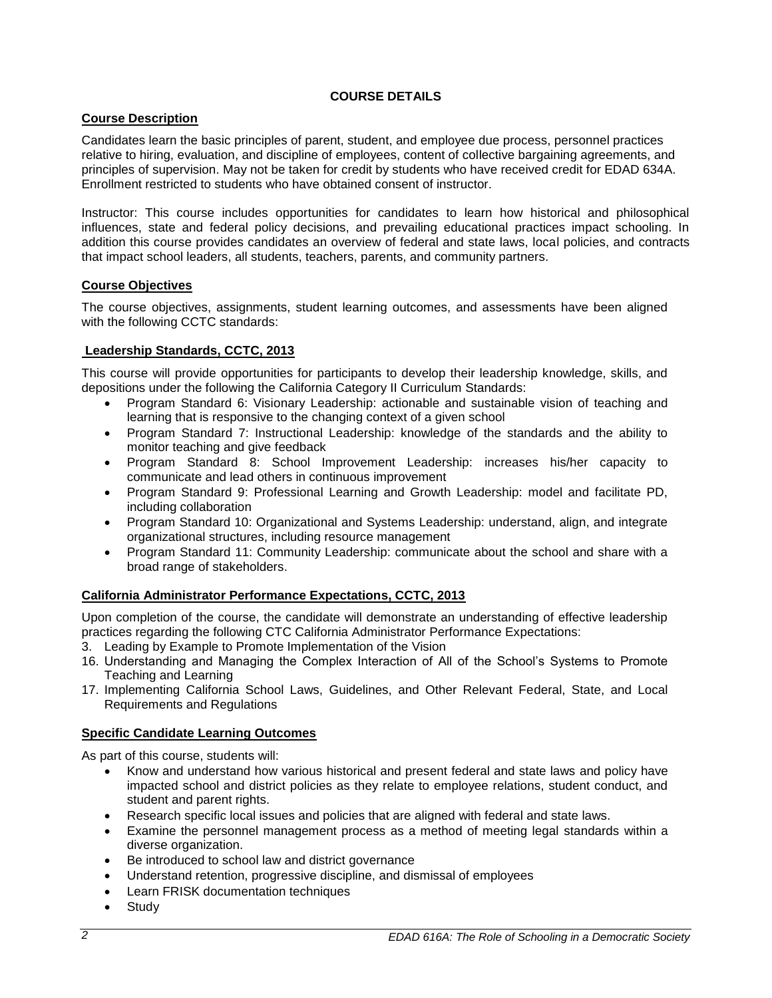# **COURSE DETAILS**

# **Course Description**

Candidates learn the basic principles of parent, student, and employee due process, personnel practices relative to hiring, evaluation, and discipline of employees, content of collective bargaining agreements, and principles of supervision. May not be taken for credit by students who have received credit for EDAD 634A. Enrollment restricted to students who have obtained consent of instructor.

Instructor: This course includes opportunities for candidates to learn how historical and philosophical influences, state and federal policy decisions, and prevailing educational practices impact schooling. In addition this course provides candidates an overview of federal and state laws, local policies, and contracts that impact school leaders, all students, teachers, parents, and community partners.

# **Course Objectives**

The course objectives, assignments, student learning outcomes, and assessments have been aligned with the following CCTC standards:

# **Leadership Standards, CCTC, 2013**

This course will provide opportunities for participants to develop their leadership knowledge, skills, and depositions under the following the California Category II Curriculum Standards:

- Program Standard 6: Visionary Leadership: actionable and sustainable vision of teaching and learning that is responsive to the changing context of a given school
- Program Standard 7: Instructional Leadership: knowledge of the standards and the ability to monitor teaching and give feedback
- Program Standard 8: School Improvement Leadership: increases his/her capacity to communicate and lead others in continuous improvement
- Program Standard 9: Professional Learning and Growth Leadership: model and facilitate PD, including collaboration
- Program Standard 10: Organizational and Systems Leadership: understand, align, and integrate organizational structures, including resource management
- Program Standard 11: Community Leadership: communicate about the school and share with a broad range of stakeholders.

# **California Administrator Performance Expectations, CCTC, 2013**

Upon completion of the course, the candidate will demonstrate an understanding of effective leadership practices regarding the following CTC California Administrator Performance Expectations:

- 3. Leading by Example to Promote Implementation of the Vision
- 16. Understanding and Managing the Complex Interaction of All of the School's Systems to Promote Teaching and Learning
- 17. Implementing California School Laws, Guidelines, and Other Relevant Federal, State, and Local Requirements and Regulations

# **Specific Candidate Learning Outcomes**

As part of this course, students will:

- Know and understand how various historical and present federal and state laws and policy have impacted school and district policies as they relate to employee relations, student conduct, and student and parent rights.
- Research specific local issues and policies that are aligned with federal and state laws.
- Examine the personnel management process as a method of meeting legal standards within a diverse organization.
- Be introduced to school law and district governance
- Understand retention, progressive discipline, and dismissal of employees
- Learn FRISK documentation techniques
- Study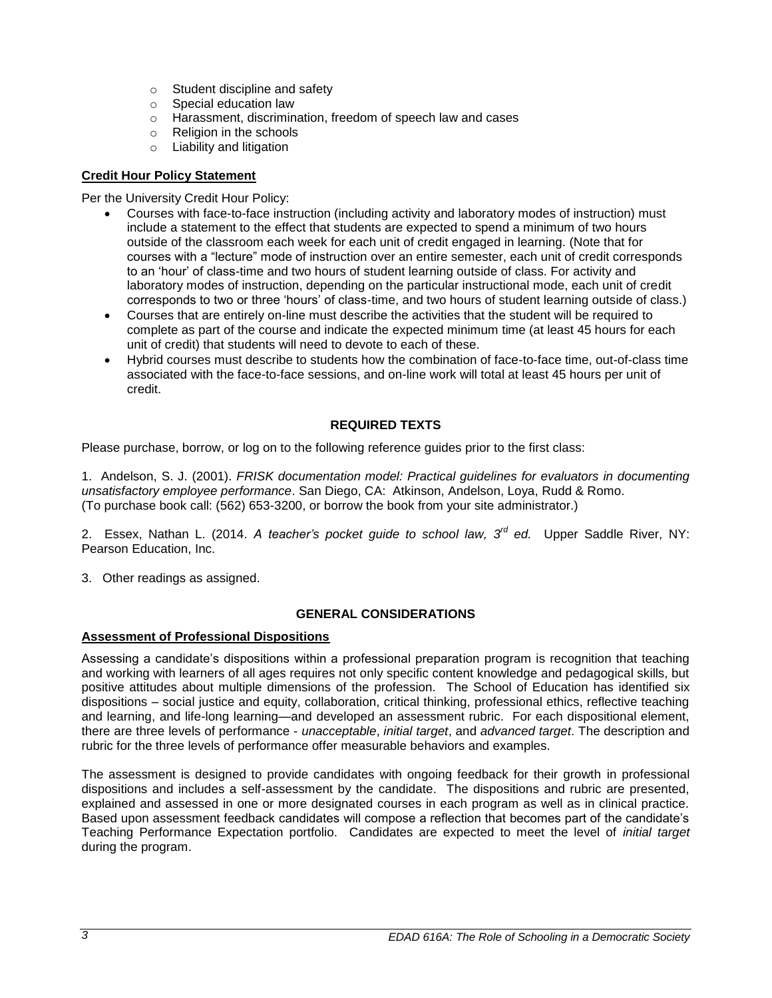- o Student discipline and safety
- o Special education law
- o Harassment, discrimination, freedom of speech law and cases
- o Religion in the schools
- o Liability and litigation

# **Credit Hour Policy Statement**

Per the University Credit Hour Policy:

- Courses with face-to-face instruction (including activity and laboratory modes of instruction) must include a statement to the effect that students are expected to spend a minimum of two hours outside of the classroom each week for each unit of credit engaged in learning. (Note that for courses with a "lecture" mode of instruction over an entire semester, each unit of credit corresponds to an 'hour' of class-time and two hours of student learning outside of class. For activity and laboratory modes of instruction, depending on the particular instructional mode, each unit of credit corresponds to two or three 'hours' of class-time, and two hours of student learning outside of class.)
- Courses that are entirely on-line must describe the activities that the student will be required to complete as part of the course and indicate the expected minimum time (at least 45 hours for each unit of credit) that students will need to devote to each of these.
- Hybrid courses must describe to students how the combination of face-to-face time, out-of-class time associated with the face-to-face sessions, and on-line work will total at least 45 hours per unit of credit.

# **REQUIRED TEXTS**

Please purchase, borrow, or log on to the following reference guides prior to the first class:

1. Andelson, S. J. (2001). *FRISK documentation model: Practical guidelines for evaluators in documenting unsatisfactory employee performance*. San Diego, CA: Atkinson, Andelson, Loya, Rudd & Romo. (To purchase book call: (562) 653-3200, or borrow the book from your site administrator.)

2. Essex, Nathan L. (2014. A teacher's pocket guide to school law, 3<sup>rd</sup> ed. Upper Saddle River, NY: Pearson Education, Inc.

3. Other readings as assigned.

# **GENERAL CONSIDERATIONS**

# **Assessment of Professional Dispositions**

Assessing a candidate's dispositions within a professional preparation program is recognition that teaching and working with learners of all ages requires not only specific content knowledge and pedagogical skills, but positive attitudes about multiple dimensions of the profession. The School of Education has identified six dispositions – social justice and equity, collaboration, critical thinking, professional ethics, reflective teaching and learning, and life-long learning—and developed an assessment rubric. For each dispositional element, there are three levels of performance - *unacceptable*, *initial target*, and *advanced target*. The description and rubric for the three levels of performance offer measurable behaviors and examples.

The assessment is designed to provide candidates with ongoing feedback for their growth in professional dispositions and includes a self-assessment by the candidate. The dispositions and rubric are presented, explained and assessed in one or more designated courses in each program as well as in clinical practice. Based upon assessment feedback candidates will compose a reflection that becomes part of the candidate's Teaching Performance Expectation portfolio. Candidates are expected to meet the level of *initial target* during the program.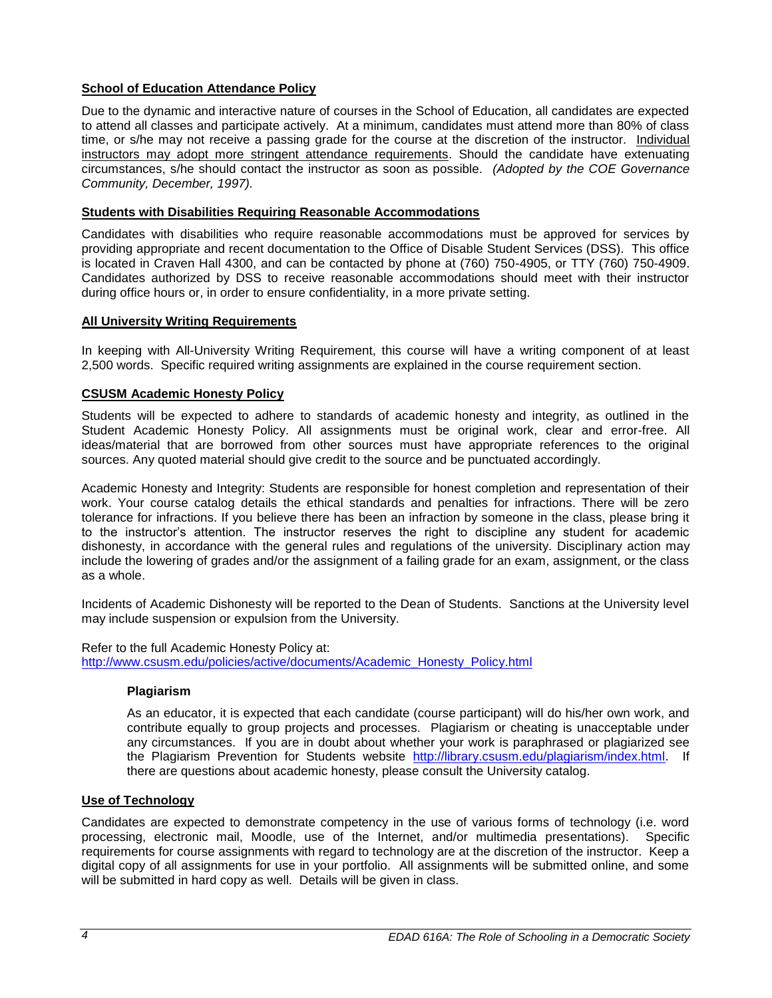# **School of Education Attendance Policy**

Due to the dynamic and interactive nature of courses in the School of Education, all candidates are expected to attend all classes and participate actively. At a minimum, candidates must attend more than 80% of class time, or s/he may not receive a passing grade for the course at the discretion of the instructor. Individual instructors may adopt more stringent attendance requirements. Should the candidate have extenuating circumstances, s/he should contact the instructor as soon as possible. *(Adopted by the COE Governance Community, December, 1997).*

# **Students with Disabilities Requiring Reasonable Accommodations**

Candidates with disabilities who require reasonable accommodations must be approved for services by providing appropriate and recent documentation to the Office of Disable Student Services (DSS). This office is located in Craven Hall 4300, and can be contacted by phone at (760) 750-4905, or TTY (760) 750-4909. Candidates authorized by DSS to receive reasonable accommodations should meet with their instructor during office hours or, in order to ensure confidentiality, in a more private setting.

# **All University Writing Requirements**

In keeping with All-University Writing Requirement, this course will have a writing component of at least 2,500 words. Specific required writing assignments are explained in the course requirement section.

# **CSUSM Academic Honesty Policy**

Students will be expected to adhere to standards of academic honesty and integrity, as outlined in the Student Academic Honesty Policy. All assignments must be original work, clear and error-free. All ideas/material that are borrowed from other sources must have appropriate references to the original sources. Any quoted material should give credit to the source and be punctuated accordingly.

Academic Honesty and Integrity: Students are responsible for honest completion and representation of their work. Your course catalog details the ethical standards and penalties for infractions. There will be zero tolerance for infractions. If you believe there has been an infraction by someone in the class, please bring it to the instructor's attention. The instructor reserves the right to discipline any student for academic dishonesty, in accordance with the general rules and regulations of the university. Disciplinary action may include the lowering of grades and/or the assignment of a failing grade for an exam, assignment, or the class as a whole.

Incidents of Academic Dishonesty will be reported to the Dean of Students. Sanctions at the University level may include suspension or expulsion from the University.

Refer to the full Academic Honesty Policy at: [http://www.csusm.edu/policies/active/documents/Academic\\_Honesty\\_Policy.html](http://www.csusm.edu/policies/active/documents/Academic_Honesty_Policy.html)

# **Plagiarism**

As an educator, it is expected that each candidate (course participant) will do his/her own work, and contribute equally to group projects and processes. Plagiarism or cheating is unacceptable under any circumstances. If you are in doubt about whether your work is paraphrased or plagiarized see the Plagiarism Prevention for Students website [http://library.csusm.edu/plagiarism/index.html.](http://library.csusm.edu/plagiarism/index.html) If there are questions about academic honesty, please consult the University catalog.

# **Use of Technology**

Candidates are expected to demonstrate competency in the use of various forms of technology (i.e. word processing, electronic mail, Moodle, use of the Internet, and/or multimedia presentations). Specific requirements for course assignments with regard to technology are at the discretion of the instructor. Keep a digital copy of all assignments for use in your portfolio. All assignments will be submitted online, and some will be submitted in hard copy as well. Details will be given in class.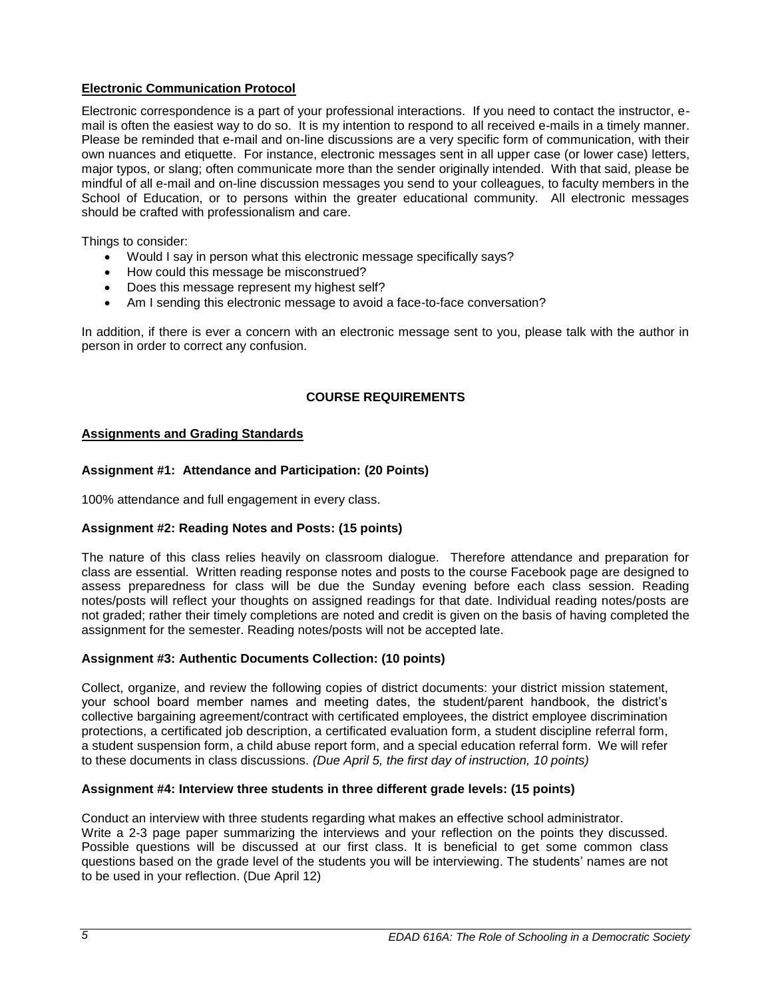# **Electronic Communication Protocol**

Electronic correspondence is a part of your professional interactions. If you need to contact the instructor, email is often the easiest way to do so. It is my intention to respond to all received e-mails in a timely manner. Please be reminded that e-mail and on-line discussions are a very specific form of communication, with their own nuances and etiquette. For instance, electronic messages sent in all upper case (or lower case) letters, major typos, or slang; often communicate more than the sender originally intended. With that said, please be mindful of all e-mail and on-line discussion messages you send to your colleagues, to faculty members in the School of Education, or to persons within the greater educational community. All electronic messages should be crafted with professionalism and care.

Things to consider:

- Would I say in person what this electronic message specifically says?
- How could this message be misconstrued?
- Does this message represent my highest self?
- Am I sending this electronic message to avoid a face-to-face conversation?

In addition, if there is ever a concern with an electronic message sent to you, please talk with the author in person in order to correct any confusion.

# **COURSE REQUIREMENTS**

### **Assignments and Grading Standards**

### **Assignment #1: Attendance and Participation: (20 Points)**

100% attendance and full engagement in every class.

#### **Assignment #2: Reading Notes and Posts: (15 points)**

The nature of this class relies heavily on classroom dialogue. Therefore attendance and preparation for class are essential. Written reading response notes and posts to the course Facebook page are designed to assess preparedness for class will be due the Sunday evening before each class session. Reading notes/posts will reflect your thoughts on assigned readings for that date. Individual reading notes/posts are not graded; rather their timely completions are noted and credit is given on the basis of having completed the assignment for the semester. Reading notes/posts will not be accepted late.

#### **Assignment #3: Authentic Documents Collection: (10 points)**

Collect, organize, and review the following copies of district documents: your district mission statement, your school board member names and meeting dates, the student/parent handbook, the district's collective bargaining agreement/contract with certificated employees, the district employee discrimination protections, a certificated job description, a certificated evaluation form, a student discipline referral form, a student suspension form, a child abuse report form, and a special education referral form. We will refer to these documents in class discussions. *(Due April 5, the first day of instruction, 10 points)*

#### **Assignment #4: Interview three students in three different grade levels: (15 points)**

Conduct an interview with three students regarding what makes an effective school administrator. Write a 2-3 page paper summarizing the interviews and your reflection on the points they discussed. Possible questions will be discussed at our first class. It is beneficial to get some common class questions based on the grade level of the students you will be interviewing. The students' names are not to be used in your reflection. (Due April 12)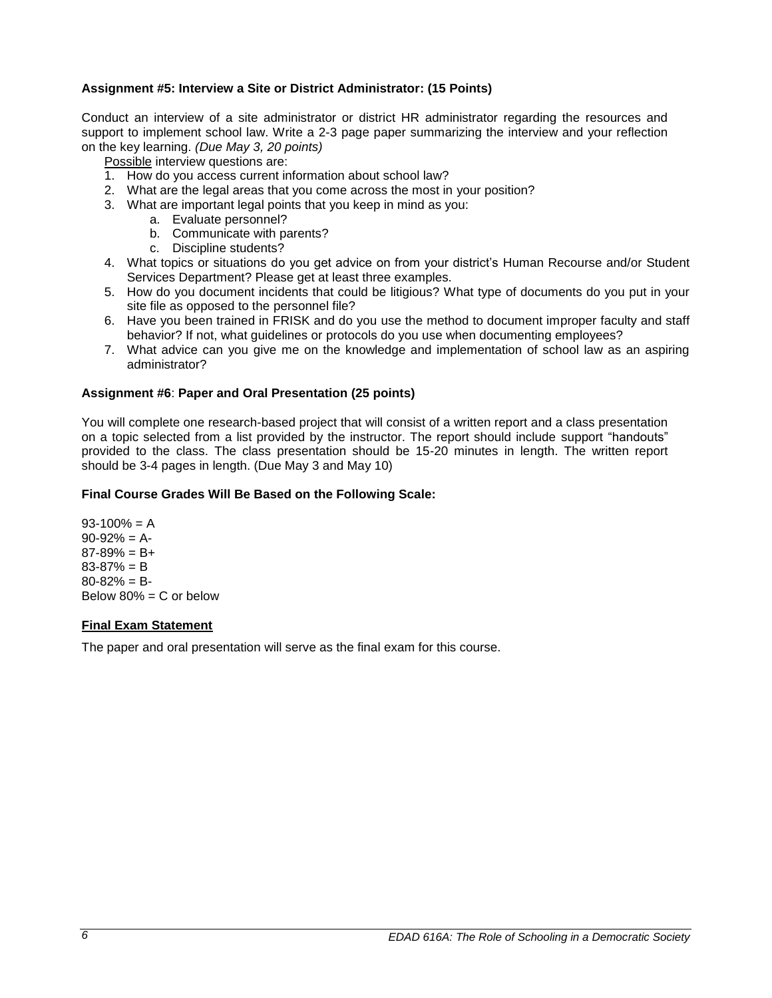# **Assignment #5: Interview a Site or District Administrator: (15 Points)**

Conduct an interview of a site administrator or district HR administrator regarding the resources and support to implement school law. Write a 2-3 page paper summarizing the interview and your reflection on the key learning. *(Due May 3, 20 points)*

Possible interview questions are:

- 1. How do you access current information about school law?
- 2. What are the legal areas that you come across the most in your position?
- 3. What are important legal points that you keep in mind as you:
	- a. Evaluate personnel?
	- b. Communicate with parents?
	- c. Discipline students?
- 4. What topics or situations do you get advice on from your district's Human Recourse and/or Student Services Department? Please get at least three examples.
- 5. How do you document incidents that could be litigious? What type of documents do you put in your site file as opposed to the personnel file?
- 6. Have you been trained in FRISK and do you use the method to document improper faculty and staff behavior? If not, what guidelines or protocols do you use when documenting employees?
- 7. What advice can you give me on the knowledge and implementation of school law as an aspiring administrator?

### **Assignment #6**: **Paper and Oral Presentation (25 points)**

You will complete one research-based project that will consist of a written report and a class presentation on a topic selected from a list provided by the instructor. The report should include support "handouts" provided to the class. The class presentation should be 15-20 minutes in length. The written report should be 3-4 pages in length. (Due May 3 and May 10)

### **Final Course Grades Will Be Based on the Following Scale:**

 $93-100% = A$  $90-92% = A$  $87-89% = B+$ 83-87% = B  $80 - 82\% = B$ Below  $80\% = C$  or below

#### **Final Exam Statement**

The paper and oral presentation will serve as the final exam for this course.